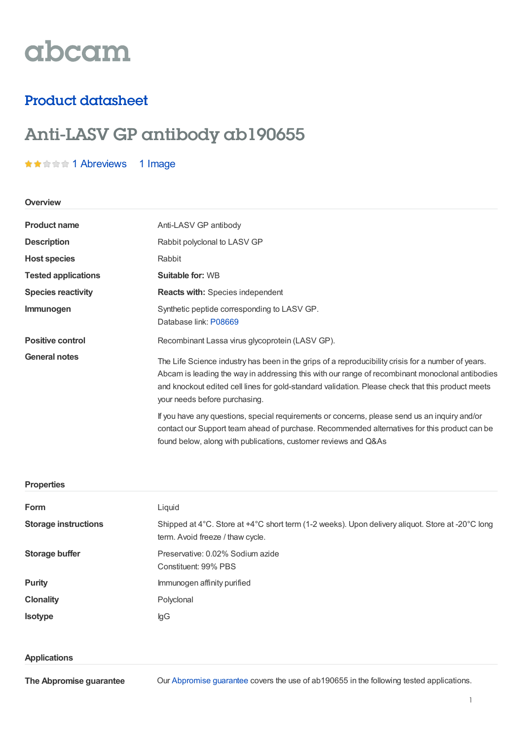# abcam

### Product datasheet

## Anti-LASV GP antibody ab190655

#### ★★★★★ 1 [Abreviews](https://www.abcam.com/lasv-gp-antibody-ab190655.html?productWallTab=Abreviews) 1 Image

#### **Overview**

| <b>Product name</b>        | Anti-LASV GP antibody                                                                                                                                                                                                                                                                                                                       |  |
|----------------------------|---------------------------------------------------------------------------------------------------------------------------------------------------------------------------------------------------------------------------------------------------------------------------------------------------------------------------------------------|--|
| <b>Description</b>         | Rabbit polyclonal to LASV GP                                                                                                                                                                                                                                                                                                                |  |
| <b>Host species</b>        | Rabbit                                                                                                                                                                                                                                                                                                                                      |  |
| <b>Tested applications</b> | <b>Suitable for: WB</b>                                                                                                                                                                                                                                                                                                                     |  |
| <b>Species reactivity</b>  | <b>Reacts with: Species independent</b>                                                                                                                                                                                                                                                                                                     |  |
| Immunogen                  | Synthetic peptide corresponding to LASV GP.<br>Database link: P08669                                                                                                                                                                                                                                                                        |  |
| <b>Positive control</b>    | Recombinant Lassa virus glycoprotein (LASV GP).                                                                                                                                                                                                                                                                                             |  |
| <b>General notes</b>       | The Life Science industry has been in the grips of a reproducibility crisis for a number of years.<br>Abcam is leading the way in addressing this with our range of recombinant monoclonal antibodies<br>and knockout edited cell lines for gold-standard validation. Please check that this product meets<br>your needs before purchasing. |  |
|                            | If you have any questions, special requirements or concerns, please send us an inquiry and/or<br>contact our Support team ahead of purchase. Recommended alternatives for this product can be<br>found below, along with publications, customer reviews and Q&As                                                                            |  |

#### **Properties**

| Form                        | Liquid                                                                                                                               |  |
|-----------------------------|--------------------------------------------------------------------------------------------------------------------------------------|--|
| <b>Storage instructions</b> | Shipped at 4°C. Store at +4°C short term (1-2 weeks). Upon delivery aliquot. Store at -20°C long<br>term. Avoid freeze / thaw cycle. |  |
| Storage buffer              | Preservative: 0.02% Sodium azide                                                                                                     |  |
|                             | Constituent: 99% PBS                                                                                                                 |  |
| <b>Purity</b>               | Immunogen affinity purified                                                                                                          |  |
| <b>Clonality</b>            | Polyclonal                                                                                                                           |  |
| <b>Isotype</b>              | lgG                                                                                                                                  |  |

#### **Applications**

**The Abpromise guarantee**

Our [Abpromise](https://www.abcam.com/abpromise) guarantee covers the use of ab190655 in the following tested applications.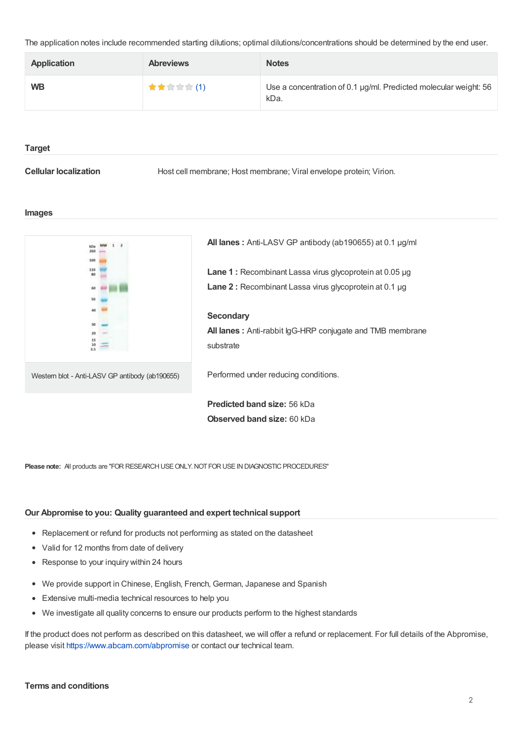The application notes include recommended starting dilutions; optimal dilutions/concentrations should be determined by the end user.

| <b>Application</b> | <b>Abreviews</b> | <b>Notes</b>                                                             |
|--------------------|------------------|--------------------------------------------------------------------------|
| <b>WB</b>          | ★★☆☆☆(1)         | Use a concentration of 0.1 µg/ml. Predicted molecular weight: 56<br>kDa. |

#### **Target**

**Cellular localization** Host cell membrane; Host membrane; Viral envelope protein; Virion.

#### **Images**



**Please note:** All products are "FOR RESEARCH USE ONLY. NOT FOR USE IN DIAGNOSTIC PROCEDURES"

#### **Our Abpromise to you: Quality guaranteed and expert technical support**

- Replacement or refund for products not performing as stated on the datasheet
- Valid for 12 months from date of delivery
- Response to your inquiry within 24 hours
- We provide support in Chinese, English, French, German, Japanese and Spanish
- Extensive multi-media technical resources to help you
- We investigate all quality concerns to ensure our products perform to the highest standards  $\bullet$

If the product does not perform as described on this datasheet, we will offer a refund or replacement. For full details of the Abpromise, please visit <https://www.abcam.com/abpromise> or contact our technical team.